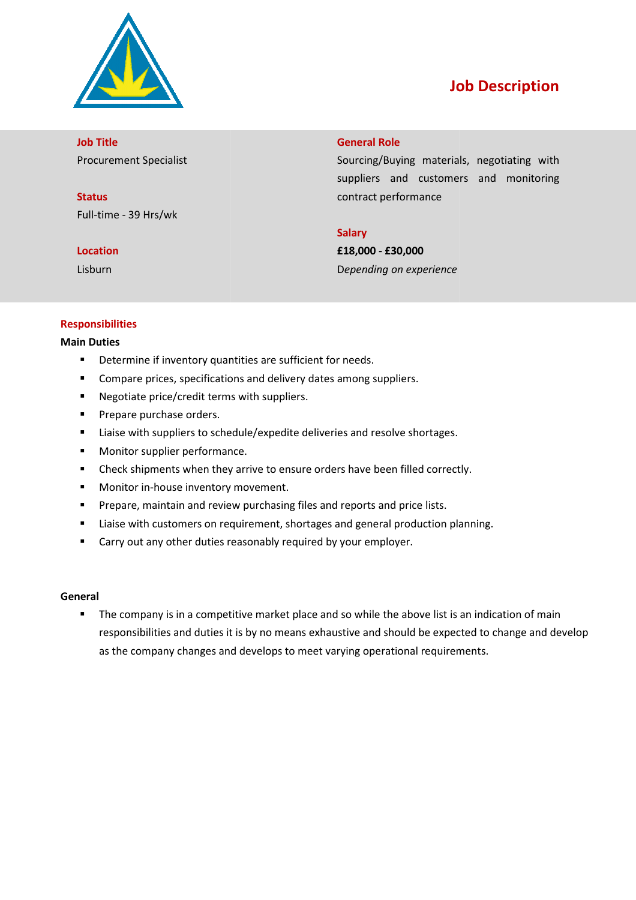

# Job Description

Job Title Procurement Specialist

**Status** Full-time - 39 Hrs/wk

### Location

Lisburn

### General Role

Sourcing/Buying materials, negotiating with suppliers and customers and monitoring contract performance

## **Salary**

£18,000 - £30,000 Depending on experience

## Responsibilities

#### Main Duties

- **•** Determine if inventory quantities are sufficient for needs.
- **•** Compare prices, specifications and delivery dates among suppliers.
- **Negotiate price/credit terms with suppliers.**
- **Prepare purchase orders.**
- **EXECUTE:** Liaise with suppliers to schedule/expedite deliveries and resolve shortages.
- **Monitor supplier performance.**
- Check shipments when they arrive to ensure orders have been filled correctly.
- **Monitor in-house inventory movement.**
- **Prepare, maintain and review purchasing files and reports and price lists.** house inventory movement.<br>aintain and review purchasing files and reports and prior<br>customers on requirement, shortages and general proor<br>ny other duties reasonably required by your employer.
- **E** Liaise with customers on requirement, shortages and general production planning.
- **EXTER** Carry out any other duties reasonably required by your employer.

#### General

**The company is in a competitive market place and so while the above list is an indication of main** responsibilities and duties it is by no means exhaustive and should be expected to change and develop as the company changes and develops to meet varying operational requirements.